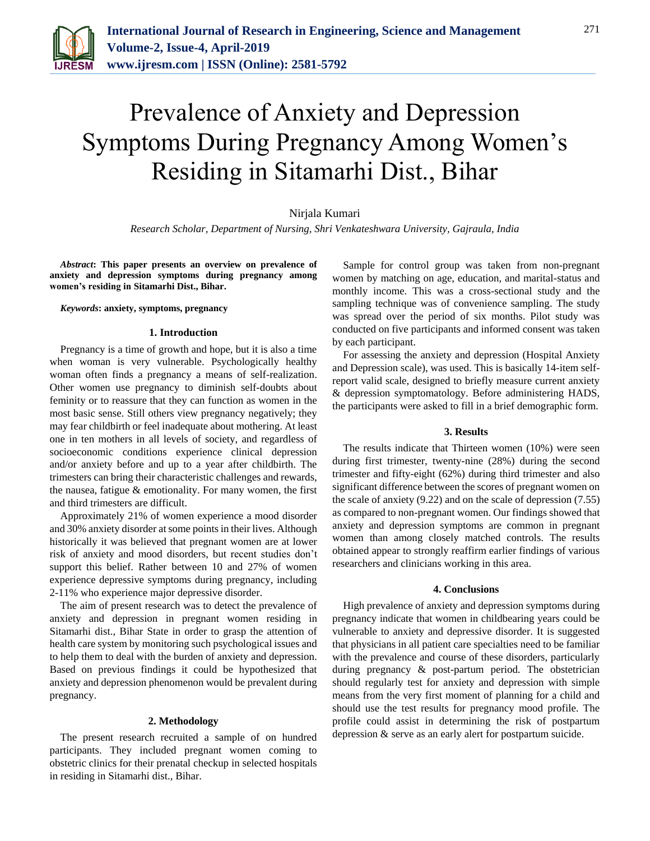

# Prevalence of Anxiety and Depression Symptoms During Pregnancy Among Women's Residing in Sitamarhi Dist., Bihar

Nirjala Kumari

*Research Scholar, Department of Nursing, Shri Venkateshwara University, Gajraula, India*

*Abstract***: This paper presents an overview on prevalence of anxiety and depression symptoms during pregnancy among women's residing in Sitamarhi Dist., Bihar.**

*Keywords***: anxiety, symptoms, pregnancy**

#### **1. Introduction**

Pregnancy is a time of growth and hope, but it is also a time when woman is very vulnerable. Psychologically healthy woman often finds a pregnancy a means of self-realization. Other women use pregnancy to diminish self-doubts about feminity or to reassure that they can function as women in the most basic sense. Still others view pregnancy negatively; they may fear childbirth or feel inadequate about mothering. At least one in ten mothers in all levels of society, and regardless of socioeconomic conditions experience clinical depression and/or anxiety before and up to a year after childbirth. The trimesters can bring their characteristic challenges and rewards, the nausea, fatigue & emotionality. For many women, the first and third trimesters are difficult.

Approximately 21% of women experience a mood disorder and 30% anxiety disorder at some points in their lives. Although historically it was believed that pregnant women are at lower risk of anxiety and mood disorders, but recent studies don't support this belief. Rather between 10 and 27% of women experience depressive symptoms during pregnancy, including 2-11% who experience major depressive disorder.

The aim of present research was to detect the prevalence of anxiety and depression in pregnant women residing in Sitamarhi dist., Bihar State in order to grasp the attention of health care system by monitoring such psychological issues and to help them to deal with the burden of anxiety and depression. Based on previous findings it could be hypothesized that anxiety and depression phenomenon would be prevalent during pregnancy.

#### **2. Methodology**

The present research recruited a sample of on hundred participants. They included pregnant women coming to obstetric clinics for their prenatal checkup in selected hospitals in residing in Sitamarhi dist., Bihar.

Sample for control group was taken from non-pregnant women by matching on age, education, and marital-status and monthly income. This was a cross-sectional study and the sampling technique was of convenience sampling. The study was spread over the period of six months. Pilot study was conducted on five participants and informed consent was taken by each participant.

For assessing the anxiety and depression (Hospital Anxiety and Depression scale), was used. This is basically 14-item selfreport valid scale, designed to briefly measure current anxiety & depression symptomatology. Before administering HADS, the participants were asked to fill in a brief demographic form.

## **3. Results**

The results indicate that Thirteen women (10%) were seen during first trimester, twenty-nine (28%) during the second trimester and fifty-eight (62%) during third trimester and also significant difference between the scores of pregnant women on the scale of anxiety (9.22) and on the scale of depression (7.55) as compared to non-pregnant women. Our findings showed that anxiety and depression symptoms are common in pregnant women than among closely matched controls. The results obtained appear to strongly reaffirm earlier findings of various researchers and clinicians working in this area.

### **4. Conclusions**

High prevalence of anxiety and depression symptoms during pregnancy indicate that women in childbearing years could be vulnerable to anxiety and depressive disorder. It is suggested that physicians in all patient care specialties need to be familiar with the prevalence and course of these disorders, particularly during pregnancy & post-partum period. The obstetrician should regularly test for anxiety and depression with simple means from the very first moment of planning for a child and should use the test results for pregnancy mood profile. The profile could assist in determining the risk of postpartum depression & serve as an early alert for postpartum suicide.